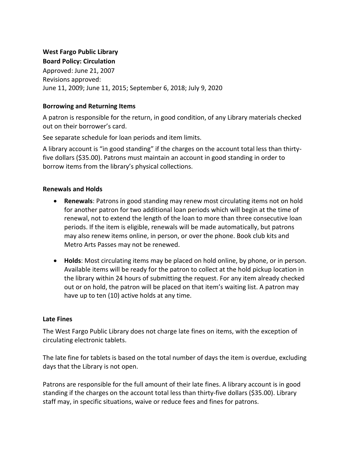### **West Fargo Public Library Board Policy: Circulation**

Approved: June 21, 2007 Revisions approved: June 11, 2009; June 11, 2015; September 6, 2018; July 9, 2020

## **Borrowing and Returning Items**

A patron is responsible for the return, in good condition, of any Library materials checked out on their borrower's card.

See separate schedule for loan periods and item limits.

A library account is "in good standing" if the charges on the account total less than thirtyfive dollars (\$35.00). Patrons must maintain an account in good standing in order to borrow items from the library's physical collections.

# **Renewals and Holds**

- **Renewals**: Patrons in good standing may renew most circulating items not on hold for another patron for two additional loan periods which will begin at the time of renewal, not to extend the length of the loan to more than three consecutive loan periods. If the item is eligible, renewals will be made automatically, but patrons may also renew items online, in person, or over the phone. Book club kits and Metro Arts Passes may not be renewed.
- **Holds**: Most circulating items may be placed on hold online, by phone, or in person. Available items will be ready for the patron to collect at the hold pickup location in the library within 24 hours of submitting the request. For any item already checked out or on hold, the patron will be placed on that item's waiting list. A patron may have up to ten (10) active holds at any time.

### **Late Fines**

The West Fargo Public Library does not charge late fines on items, with the exception of circulating electronic tablets.

The late fine for tablets is based on the total number of days the item is overdue, excluding days that the Library is not open.

Patrons are responsible for the full amount of their late fines. A library account is in good standing if the charges on the account total less than thirty-five dollars (\$35.00). Library staff may, in specific situations, waive or reduce fees and fines for patrons.